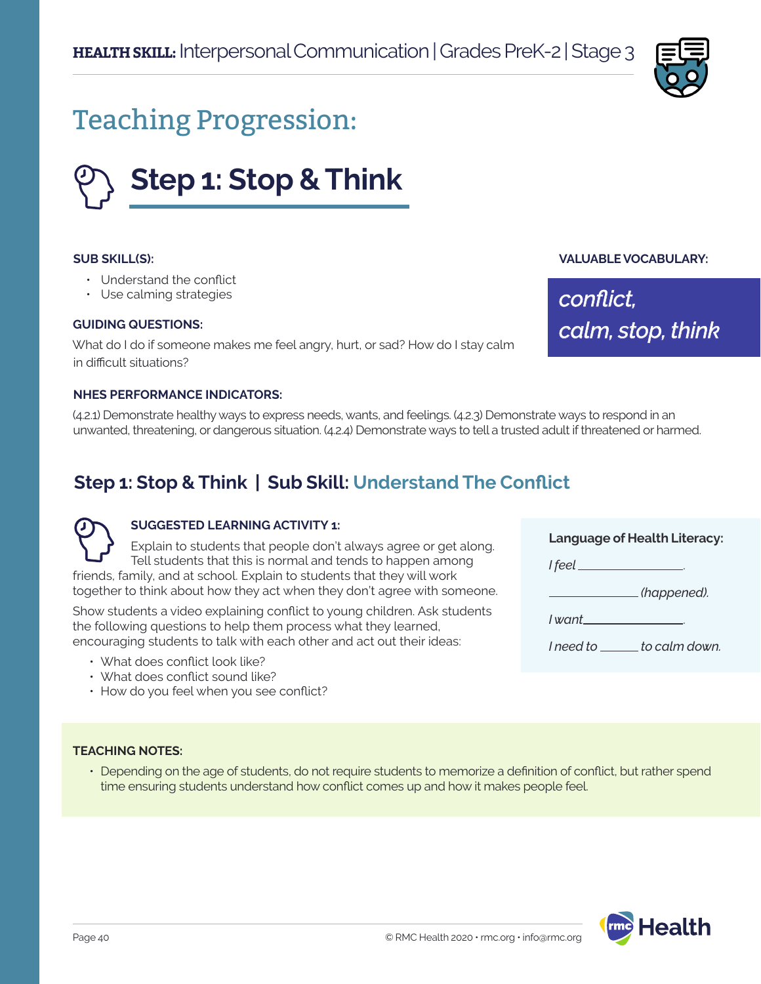

# Teaching Progression:



#### **SUB SKILL(S):**

- Understand the conflict
- Use calming strategies

#### **GUIDING QUESTIONS:**

What do I do if someone makes me feel angry, hurt, or sad? How do I stay calm in difficult situations?

#### **NHES PERFORMANCE INDICATORS:**

(4.2.1) Demonstrate healthy ways to express needs, wants, and feelings. (4.2.3) Demonstrate ways to respond in an unwanted, threatening, or dangerous situation. (4.2.4) Demonstrate ways to tell a trusted adult if threatened or harmed.

## **Step 1: Stop & Think | Sub Skill: Understand The Conflict**

#### **SUGGESTED LEARNING ACTIVITY 1:**

Explain to students that people don't always agree or get along. Tell students that this is normal and tends to happen among friends, family, and at school. Explain to students that they will work

together to think about how they act when they don't agree with someone.

Show students a video explaining conflict to young children. Ask students the following questions to help them process what they learned, encouraging students to talk with each other and act out their ideas:

- What does conflict look like?
- What does conflict sound like?
- How do you feel when you see conflict?

#### **Language of Health Literacy:**

**VALUABLE VOCABULARY:**

*calm, stop, think*

*conflict,* 

*I feel* .

 *(happened).*

*I want* .

*I need to \_\_\_\_\_\_ to calm down.* 

### **TEACHING NOTES:**

• Depending on the age of students, do not require students to memorize a definition of conflict, but rather spend time ensuring students understand how conflict comes up and how it makes people feel.

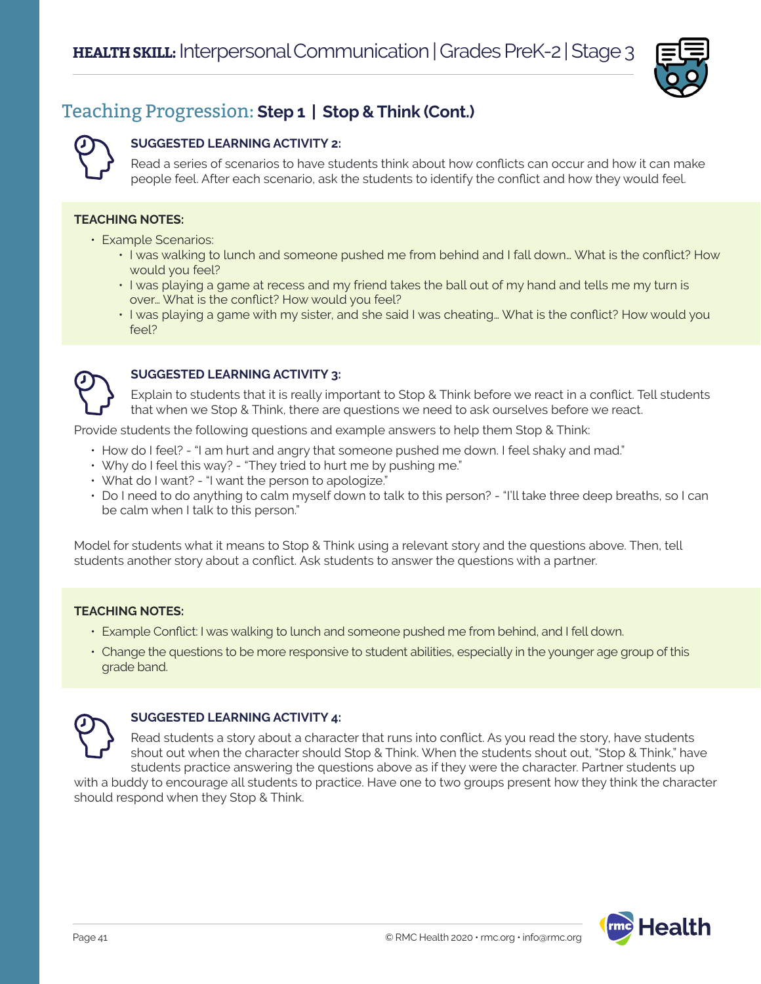

## Teaching Progression: **Step 1 | Stop & Think (Cont.)**

#### **SUGGESTED LEARNING ACTIVITY 2:**

Read a series of scenarios to have students think about how conflicts can occur and how it can make people feel. After each scenario, ask the students to identify the conflict and how they would feel.

#### **TEACHING NOTES:**

- Example Scenarios:
	- I was walking to lunch and someone pushed me from behind and I fall down… What is the conflict? How would you feel?
	- I was playing a game at recess and my friend takes the ball out of my hand and tells me my turn is over… What is the conflict? How would you feel?
	- I was playing a game with my sister, and she said I was cheating… What is the conflict? How would you feel?



#### **SUGGESTED LEARNING ACTIVITY 3:**

Explain to students that it is really important to Stop & Think before we react in a conflict. Tell students that when we Stop & Think, there are questions we need to ask ourselves before we react.

Provide students the following questions and example answers to help them Stop & Think:

- How do I feel? "I am hurt and angry that someone pushed me down. I feel shaky and mad."
- Why do I feel this way? "They tried to hurt me by pushing me."
- What do I want? "I want the person to apologize."
- Do I need to do anything to calm myself down to talk to this person? "I'll take three deep breaths, so I can be calm when I talk to this person."

Model for students what it means to Stop & Think using a relevant story and the questions above. Then, tell students another story about a conflict. Ask students to answer the questions with a partner.

#### **TEACHING NOTES:**

- Example Conflict: I was walking to lunch and someone pushed me from behind, and I fell down.
- Change the questions to be more responsive to student abilities, especially in the younger age group of this grade band.



#### **SUGGESTED LEARNING ACTIVITY 4:**

Read students a story about a character that runs into conflict. As you read the story, have students shout out when the character should Stop & Think. When the students shout out, "Stop & Think," have students practice answering the questions above as if they were the character. Partner students up

with a buddy to encourage all students to practice. Have one to two groups present how they think the character should respond when they Stop & Think.